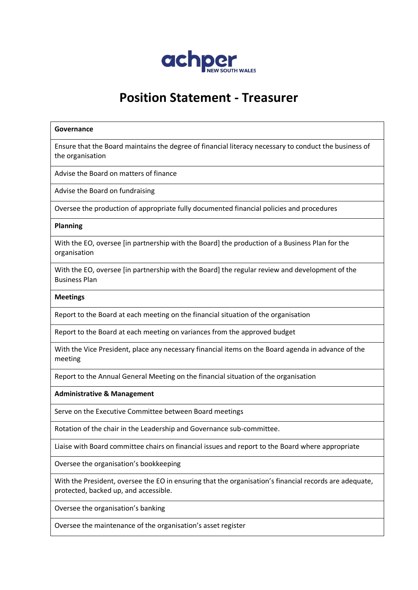

# **Position Statement - Treasurer**

#### **Governance**

Ensure that the Board maintains the degree of financial literacy necessary to conduct the business of the organisation

Advise the Board on matters of finance

Advise the Board on fundraising

Oversee the production of appropriate fully documented financial policies and procedures

#### **Planning**

With the EO, oversee [in partnership with the Board] the production of a Business Plan for the organisation

With the EO, oversee [in partnership with the Board] the regular review and development of the Business Plan

#### **Meetings**

Report to the Board at each meeting on the financial situation of the organisation

Report to the Board at each meeting on variances from the approved budget

With the Vice President, place any necessary financial items on the Board agenda in advance of the meeting

Report to the Annual General Meeting on the financial situation of the organisation

**Administrative & Management**

Serve on the Executive Committee between Board meetings

Rotation of the chair in the Leadership and Governance sub-committee.

Liaise with Board committee chairs on financial issues and report to the Board where appropriate

Oversee the organisation's bookkeeping

With the President, oversee the EO in ensuring that the organisation's financial records are adequate, protected, backed up, and accessible.

Oversee the organisation's banking

Oversee the maintenance of the organisation's asset register